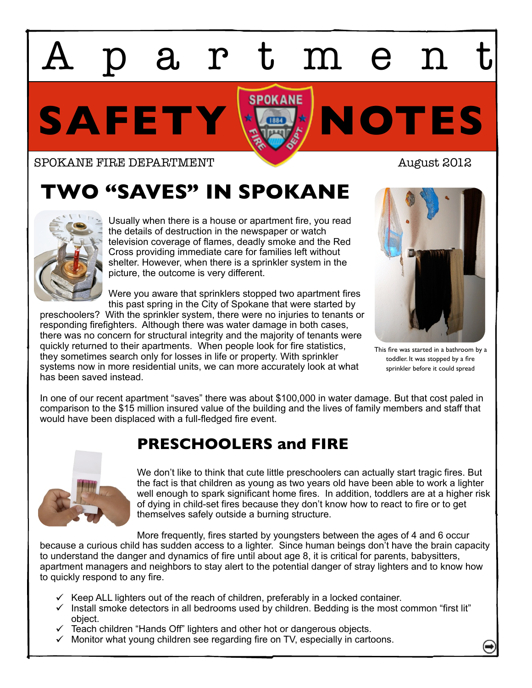# Apartment

SAFETY **X** 

#### SPOKANE FIRE DEPARTMENT **AUGUST 2012**

## **TWO "SAVES" IN SPOKANE**



Usually when there is a house or apartment fire, you read the details of destruction in the newspaper or watch television coverage of flames, deadly smoke and the Red Cross providing immediate care for families left without shelter. However, when there is a sprinkler system in the picture, the outcome is very different.

Were you aware that sprinklers stopped two apartment fires this past spring in the City of Spokane that were started by

preschoolers? With the sprinkler system, there were no injuries to tenants or responding firefighters. Although there was water damage in both cases, there was no concern for structural integrity and the majority of tenants were quickly returned to their apartments. When people look for fire statistics, they sometimes search only for losses in life or property. With sprinkler systems now in more residential units, we can more accurately look at what has been saved instead.



This fire was started in a bathroom by a toddler. It was stopped by a fire sprinkler before it could spread

In one of our recent apartment "saves" there was about \$100,000 in water damage. But that cost paled in comparison to the \$15 million insured value of the building and the lives of family members and staff that would have been displaced with a full-fledged fire event.

### **PRESCHOOLERS and FIRE**



We don't like to think that cute little preschoolers can actually start tragic fires. But the fact is that children as young as two years old have been able to work a lighter well enough to spark significant home fires. In addition, toddlers are at a higher risk of dying in child-set fires because they don't know how to react to fire or to get themselves safely outside a burning structure.

More frequently, fires started by youngsters between the ages of 4 and 6 occur because a curious child has sudden access to a lighter. Since human beings don't have the brain capacity to understand the danger and dynamics of fire until about age 8, it is critical for parents, babysitters, apartment managers and neighbors to stay alert to the potential danger of stray lighters and to know how to quickly respond to any fire.

- $\checkmark$  Keep ALL lighters out of the reach of children, preferably in a locked container.
- $\checkmark$  Install smoke detectors in all bedrooms used by children. Bedding is the most common "first lit" object.
- $\checkmark$  Teach children "Hands Off" lighters and other hot or dangerous objects.
- $\checkmark$  Monitor what young children see regarding fire on TV, especially in cartoons.